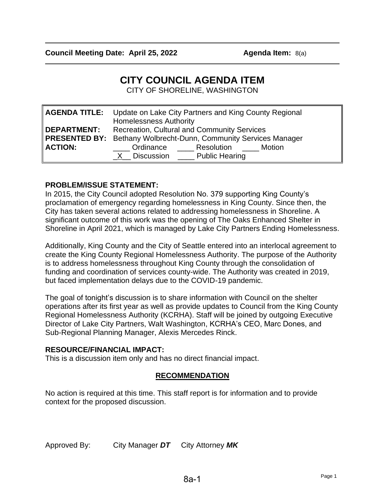# **CITY COUNCIL AGENDA ITEM**

CITY OF SHORELINE, WASHINGTON

|                                      | <b>AGENDA TITLE:</b> Update on Lake City Partners and King County Regional<br><b>Homelessness Authority</b>                                                                                   |
|--------------------------------------|-----------------------------------------------------------------------------------------------------------------------------------------------------------------------------------------------|
| <b>DEPARTMENT:</b><br><b>ACTION:</b> | <b>Recreation, Cultural and Community Services</b><br><b>PRESENTED BY:</b> Bethany Wolbrecht-Dunn, Community Services Manager<br>Ordinance Resolution Motion<br>$X$ Discussion Public Hearing |

### **PROBLEM/ISSUE STATEMENT:**

In 2015, the City Council adopted Resolution No. 379 supporting King County's proclamation of emergency regarding homelessness in King County. Since then, the City has taken several actions related to addressing homelessness in Shoreline. A significant outcome of this work was the opening of The Oaks Enhanced Shelter in Shoreline in April 2021, which is managed by Lake City Partners Ending Homelessness.

Additionally, King County and the City of Seattle entered into an interlocal agreement to create the King County Regional Homelessness Authority. The purpose of the Authority is to address homelessness throughout King County through the consolidation of funding and coordination of services county-wide. The Authority was created in 2019, but faced implementation delays due to the COVID-19 pandemic.

The goal of tonight's discussion is to share information with Council on the shelter operations after its first year as well as provide updates to Council from the King County Regional Homelessness Authority (KCRHA). Staff will be joined by outgoing Executive Director of Lake City Partners, Walt Washington, KCRHA's CEO, Marc Dones, and Sub-Regional Planning Manager, Alexis Mercedes Rinck.

#### **RESOURCE/FINANCIAL IMPACT:**

This is a discussion item only and has no direct financial impact.

## **RECOMMENDATION**

No action is required at this time. This staff report is for information and to provide context for the proposed discussion.

Approved By: City Manager *DT* City Attorney *MK*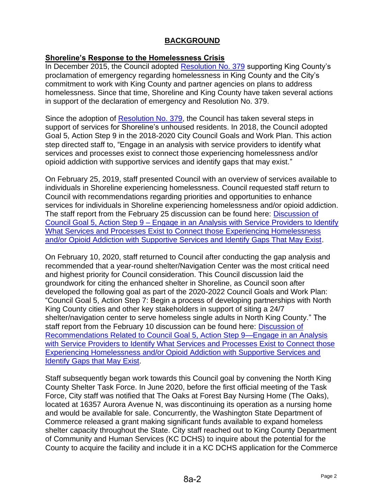## **BACKGROUND**

#### **Shoreline's Response to the Homelessness Crisis**

In December 2015, the Council adopted [Resolution No. 379](http://cosweb.ci.shoreline.wa.us/uploads/attachments/cck/council/staffreports/2015/staffreport121415-8d.pdf) supporting King County's proclamation of emergency regarding homelessness in King County and the City's commitment to work with King County and partner agencies on plans to address homelessness. Since that time, Shoreline and King County have taken several actions in support of the declaration of emergency and Resolution No. 379.

Since the adoption of [Resolution No. 379,](http://cosweb.ci.shoreline.wa.us/uploads/attachments/cck/council/staffreports/2015/staffreport121415-8d.pdf) the Council has taken several steps in support of services for Shoreline's unhoused residents. In 2018, the Council adopted Goal 5, Action Step 9 in the 2018-2020 City Council Goals and Work Plan. This action step directed staff to, "Engage in an analysis with service providers to identify what services and processes exist to connect those experiencing homelessness and/or opioid addiction with supportive services and identify gaps that may exist."

On February 25, 2019, staff presented Council with an overview of services available to individuals in Shoreline experiencing homelessness. Council requested staff return to Council with recommendations regarding priorities and opportunities to enhance services for individuals in Shoreline experiencing homelessness and/or opioid addiction. The staff report from the February 25 discussion can be found here: **Discussion of** Council Goal 5, Action Step 9 – [Engage in an Analysis with Service Providers to Identify](http://cosweb.ci.shoreline.wa.us/uploads/attachments/cck/council/staffreports/2019/staffreport022519-8b.pdf)  [What Services and Processes Exist to Connect those Experiencing Homelessness](http://cosweb.ci.shoreline.wa.us/uploads/attachments/cck/council/staffreports/2019/staffreport022519-8b.pdf)  [and/or Opioid Addiction with Supportive Services and Identify Gaps That May Exist.](http://cosweb.ci.shoreline.wa.us/uploads/attachments/cck/council/staffreports/2019/staffreport022519-8b.pdf)

On February 10, 2020, staff returned to Council after conducting the gap analysis and recommended that a year-round shelter/Navigation Center was the most critical need and highest priority for Council consideration. This Council discussion laid the groundwork for citing the enhanced shelter in Shoreline, as Council soon after developed the following goal as part of the 2020-2022 Council Goals and Work Plan: "Council Goal 5, Action Step 7: Begin a process of developing partnerships with North King County cities and other key stakeholders in support of siting a 24/7 shelter/navigation center to serve homeless single adults in North King County." The staff report from the February 10 discussion can be found here: Discussion of [Recommendations Related to Council Goal 5, Action Step 9—Engage in an Analysis](http://cosweb.ci.shoreline.wa.us/uploads/attachments/cck/council/staffreports/2020/staffreport021020-9b.pdf)  [with Service Providers to Identify What Services and Processes Exist to Connect those](http://cosweb.ci.shoreline.wa.us/uploads/attachments/cck/council/staffreports/2020/staffreport021020-9b.pdf)  [Experiencing Homelessness and/or Opioid Addiction with Supportive Services and](http://cosweb.ci.shoreline.wa.us/uploads/attachments/cck/council/staffreports/2020/staffreport021020-9b.pdf)  [Identify Gaps that May Exist.](http://cosweb.ci.shoreline.wa.us/uploads/attachments/cck/council/staffreports/2020/staffreport021020-9b.pdf)

Staff subsequently began work towards this Council goal by convening the North King County Shelter Task Force. In June 2020, before the first official meeting of the Task Force, City staff was notified that The Oaks at Forest Bay Nursing Home (The Oaks), located at 16357 Aurora Avenue N, was discontinuing its operation as a nursing home and would be available for sale. Concurrently, the Washington State Department of Commerce released a grant making significant funds available to expand homeless shelter capacity throughout the State. City staff reached out to King County Department of Community and Human Services (KC DCHS) to inquire about the potential for the County to acquire the facility and include it in a KC DCHS application for the Commerce

8a-2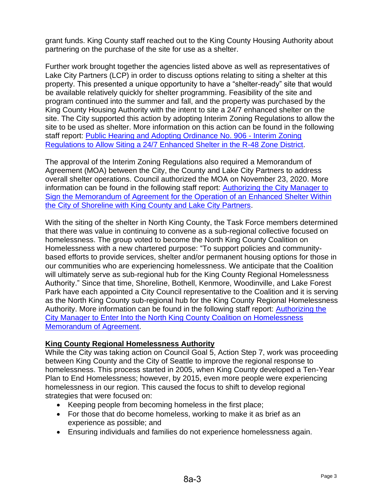grant funds. King County staff reached out to the King County Housing Authority about partnering on the purchase of the site for use as a shelter.

Further work brought together the agencies listed above as well as representatives of Lake City Partners (LCP) in order to discuss options relating to siting a shelter at this property. This presented a unique opportunity to have a "shelter-ready" site that would be available relatively quickly for shelter programming. Feasibility of the site and program continued into the summer and fall, and the property was purchased by the King County Housing Authority with the intent to site a 24/7 enhanced shelter on the site. The City supported this action by adopting Interim Zoning Regulations to allow the site to be used as shelter. More information on this action can be found in the following staff report: [Public Hearing and Adopting Ordinance No. 906 -](http://cosweb.ci.shoreline.wa.us/uploads/attachments/cck/council/staffreports/2020/staffreport102620-8a.pdf) Interim Zoning [Regulations to Allow Siting a 24/7 Enhanced Shelter in the R-48 Zone District.](http://cosweb.ci.shoreline.wa.us/uploads/attachments/cck/council/staffreports/2020/staffreport102620-8a.pdf)

The approval of the Interim Zoning Regulations also required a Memorandum of Agreement (MOA) between the City, the County and Lake City Partners to address overall shelter operations. Council authorized the MOA on November 23, 2020. More information can be found in the following staff report: [Authorizing the City Manager to](http://cosweb.ci.shoreline.wa.us/uploads/attachments/cck/council/staffreports/2020/staffreport112320-8a.pdf)  [Sign the Memorandum of Agreement for the Operation of an Enhanced Shelter Within](http://cosweb.ci.shoreline.wa.us/uploads/attachments/cck/council/staffreports/2020/staffreport112320-8a.pdf)  [the City of Shoreline with King County and Lake City Partners.](http://cosweb.ci.shoreline.wa.us/uploads/attachments/cck/council/staffreports/2020/staffreport112320-8a.pdf)

With the siting of the shelter in North King County, the Task Force members determined that there was value in continuing to convene as a sub-regional collective focused on homelessness. The group voted to become the North King County Coalition on Homelessness with a new chartered purpose: "To support policies and communitybased efforts to provide services, shelter and/or permanent housing options for those in our communities who are experiencing homelessness. We anticipate that the Coalition will ultimately serve as sub-regional hub for the King County Regional Homelessness Authority." Since that time, Shoreline, Bothell, Kenmore, Woodinville, and Lake Forest Park have each appointed a City Council representative to the Coalition and it is serving as the North King County sub-regional hub for the King County Regional Homelessness Authority. More information can be found in the following staff report: [Authorizing the](http://cosweb.ci.shoreline.wa.us/uploads/attachments/cck/council/staffreports/2021/staffreport101821-8a.pdf)  [City Manager to Enter Into the North King County Coalition on Homelessness](http://cosweb.ci.shoreline.wa.us/uploads/attachments/cck/council/staffreports/2021/staffreport101821-8a.pdf)  [Memorandum of Agreement.](http://cosweb.ci.shoreline.wa.us/uploads/attachments/cck/council/staffreports/2021/staffreport101821-8a.pdf)

## **King County Regional Homelessness Authority**

While the City was taking action on Council Goal 5, Action Step 7, work was proceeding between King County and the City of Seattle to improve the regional response to homelessness. This process started in 2005, when King County developed a Ten-Year Plan to End Homelessness; however, by 2015, even more people were experiencing homelessness in our region. This caused the focus to shift to develop regional strategies that were focused on:

- Keeping people from becoming homeless in the first place;
- For those that do become homeless, working to make it as brief as an experience as possible; and
- Ensuring individuals and families do not experience homelessness again.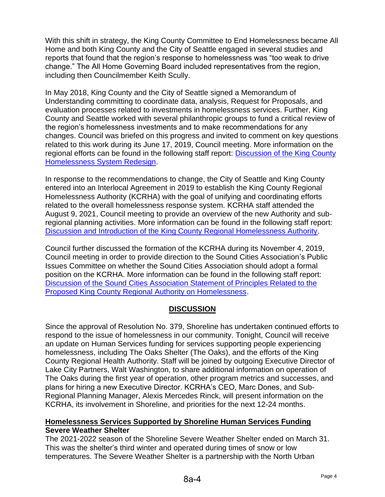With this shift in strategy, the King County Committee to End Homelessness became All Home and both King County and the City of Seattle engaged in several studies and reports that found that the region's response to homelessness was "too weak to drive change." The All Home Governing Board included representatives from the region, including then Councilmember Keith Scully.

In May 2018, King County and the City of Seattle signed a Memorandum of Understanding committing to coordinate data, analysis, Request for Proposals, and evaluation processes related to investments in homelessness services. Further, King County and Seattle worked with several philanthropic groups to fund a critical review of the region's homelessness investments and to make recommendations for any changes. Council was briefed on this progress and invited to comment on key questions related to this work during its June 17, 2019, Council meeting. More information on the regional efforts can be found in the following staff report: [Discussion of the King County](http://cosweb.ci.shoreline.wa.us/uploads/attachments/cck/council/staffreports/2019/staffreport061719-9a.pdf)  [Homelessness System Redesign.](http://cosweb.ci.shoreline.wa.us/uploads/attachments/cck/council/staffreports/2019/staffreport061719-9a.pdf)

In response to the recommendations to change, the City of Seattle and King County entered into an Interlocal Agreement in 2019 to establish the King County Regional Homelessness Authority (KCRHA) with the goal of unifying and coordinating efforts related to the overall homelessness response system. KCRHA staff attended the August 9, 2021, Council meeting to provide an overview of the new Authority and subregional planning activities. More information can be found in the following staff report: [Discussion and Introduction of the King County Regional Homelessness Authority.](http://cosweb.ci.shoreline.wa.us/uploads/attachments/cck/council/staffreports/2021/staffreport080921-9a.pdf)

Council further discussed the formation of the KCRHA during its November 4, 2019, Council meeting in order to provide direction to the Sound Cities Association's Public Issues Committee on whether the Sound Cities Association should adopt a formal position on the KCRHA. More information can be found in the following staff report: [Discussion of the Sound Cities Association Statement of Principles Related to the](http://cosweb.ci.shoreline.wa.us/uploads/attachments/cck/council/staffreports/2019/staffreport110419-9b.pdf)  [Proposed King County Regional Authority on Homelessness.](http://cosweb.ci.shoreline.wa.us/uploads/attachments/cck/council/staffreports/2019/staffreport110419-9b.pdf)

## **DISCUSSION**

Since the approval of Resolution No. 379, Shoreline has undertaken continued efforts to respond to the issue of homelessness in our community. Tonight, Council will receive an update on Human Services funding for services supporting people experiencing homelessness, including The Oaks Shelter (The Oaks), and the efforts of the King County Regional Health Authority. Staff will be joined by outgoing Executive Director of Lake City Partners, Walt Washington, to share additional information on operation of The Oaks during the first year of operation, other program metrics and successes, and plans for hiring a new Executive Director. KCRHA's CEO, Marc Dones, and Sub-Regional Planning Manager, Alexis Mercedes Rinck, will present information on the KCRHA, its involvement in Shoreline, and priorities for the next 12-24 months.

#### **Homelessness Services Supported by Shoreline Human Services Funding Severe Weather Shelter**

The 2021-2022 season of the Shoreline Severe Weather Shelter ended on March 31. This was the shelter's third winter and operated during times of snow or low temperatures. The Severe Weather Shelter is a partnership with the North Urban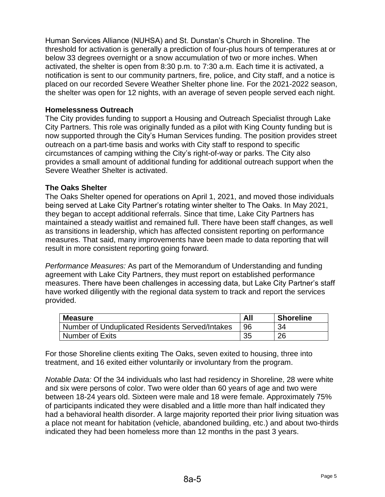Human Services Alliance (NUHSA) and St. Dunstan's Church in Shoreline. The threshold for activation is generally a prediction of four-plus hours of temperatures at or below 33 degrees overnight or a snow accumulation of two or more inches. When activated, the shelter is open from 8:30 p.m. to 7:30 a.m. Each time it is activated, a notification is sent to our community partners, fire, police, and City staff, and a notice is placed on our recorded Severe Weather Shelter phone line. For the 2021-2022 season, the shelter was open for 12 nights, with an average of seven people served each night.

#### **Homelessness Outreach**

The City provides funding to support a Housing and Outreach Specialist through Lake City Partners. This role was originally funded as a pilot with King County funding but is now supported through the City's Human Services funding. The position provides street outreach on a part-time basis and works with City staff to respond to specific circumstances of camping withing the City's right-of-way or parks. The City also provides a small amount of additional funding for additional outreach support when the Severe Weather Shelter is activated.

### **The Oaks Shelter**

The Oaks Shelter opened for operations on April 1, 2021, and moved those individuals being served at Lake City Partner's rotating winter shelter to The Oaks. In May 2021, they began to accept additional referrals. Since that time, Lake City Partners has maintained a steady waitlist and remained full. There have been staff changes, as well as transitions in leadership, which has affected consistent reporting on performance measures. That said, many improvements have been made to data reporting that will result in more consistent reporting going forward.

*Performance Measures:* As part of the Memorandum of Understanding and funding agreement with Lake City Partners, they must report on established performance measures. There have been challenges in accessing data, but Lake City Partner's staff have worked diligently with the regional data system to track and report the services provided.

| <b>Measure</b>                                  | All | <b>Shoreline</b> |
|-------------------------------------------------|-----|------------------|
| Number of Unduplicated Residents Served/Intakes |     | 34               |
| <b>Number of Exits</b>                          | 35  | 26               |

For those Shoreline clients exiting The Oaks, seven exited to housing, three into treatment, and 16 exited either voluntarily or involuntary from the program.

*Notable Data:* Of the 34 individuals who last had residency in Shoreline, 28 were white and six were persons of color. Two were older than 60 years of age and two were between 18-24 years old. Sixteen were male and 18 were female. Approximately 75% of participants indicated they were disabled and a little more than half indicated they had a behavioral health disorder. A large majority reported their prior living situation was a place not meant for habitation (vehicle, abandoned building, etc.) and about two-thirds indicated they had been homeless more than 12 months in the past 3 years.